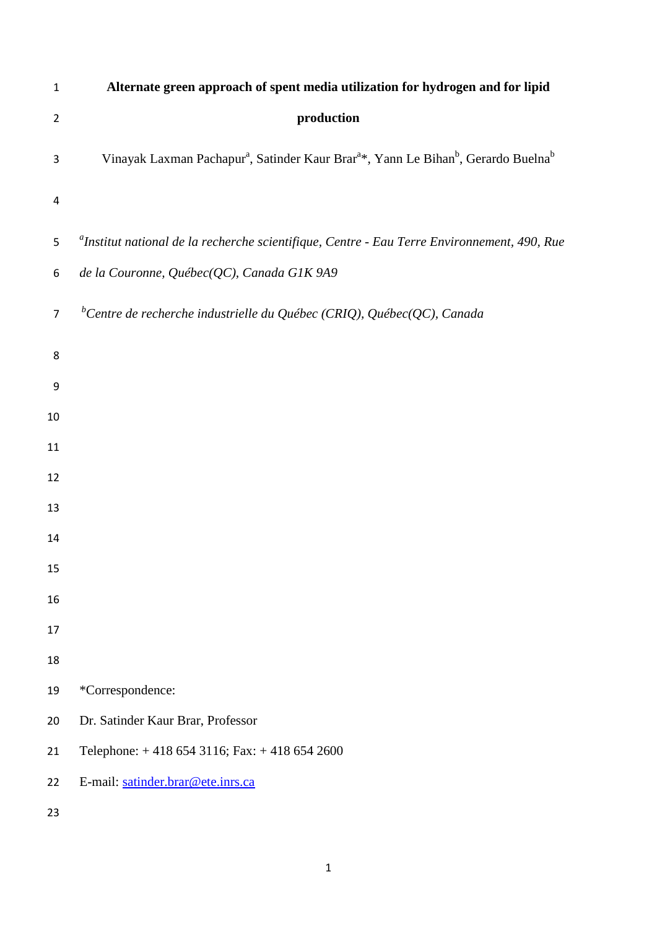| $\mathbf{1}$   | Alternate green approach of spent media utilization for hydrogen and for lipid                                                     |
|----------------|------------------------------------------------------------------------------------------------------------------------------------|
| $\overline{2}$ | production                                                                                                                         |
| 3              | Vinayak Laxman Pachapur <sup>a</sup> , Satinder Kaur Brar <sup>a*</sup> , Yann Le Bihan <sup>b</sup> , Gerardo Buelna <sup>b</sup> |
| 4              |                                                                                                                                    |
| 5              | <sup>a</sup> Institut national de la recherche scientifique, Centre - Eau Terre Environnement, 490, Rue                            |
| 6              | de la Couronne, Québec(QC), Canada G1K 9A9                                                                                         |
| $\overline{7}$ | <sup>b</sup> Centre de recherche industrielle du Québec (CRIQ), Québec(QC), Canada                                                 |
| 8              |                                                                                                                                    |
| 9              |                                                                                                                                    |
| 10             |                                                                                                                                    |
| 11             |                                                                                                                                    |
| 12             |                                                                                                                                    |
| 13             |                                                                                                                                    |
| 14             |                                                                                                                                    |
| 15             |                                                                                                                                    |
| 16             |                                                                                                                                    |
| 17             |                                                                                                                                    |
| 18             |                                                                                                                                    |
| 19             | *Correspondence:                                                                                                                   |
| 20             | Dr. Satinder Kaur Brar, Professor                                                                                                  |
| 21             | Telephone: +418 654 3116; Fax: +418 654 2600                                                                                       |
| 22             | E-mail: satinder.brar@ete.inrs.ca                                                                                                  |
| 23             |                                                                                                                                    |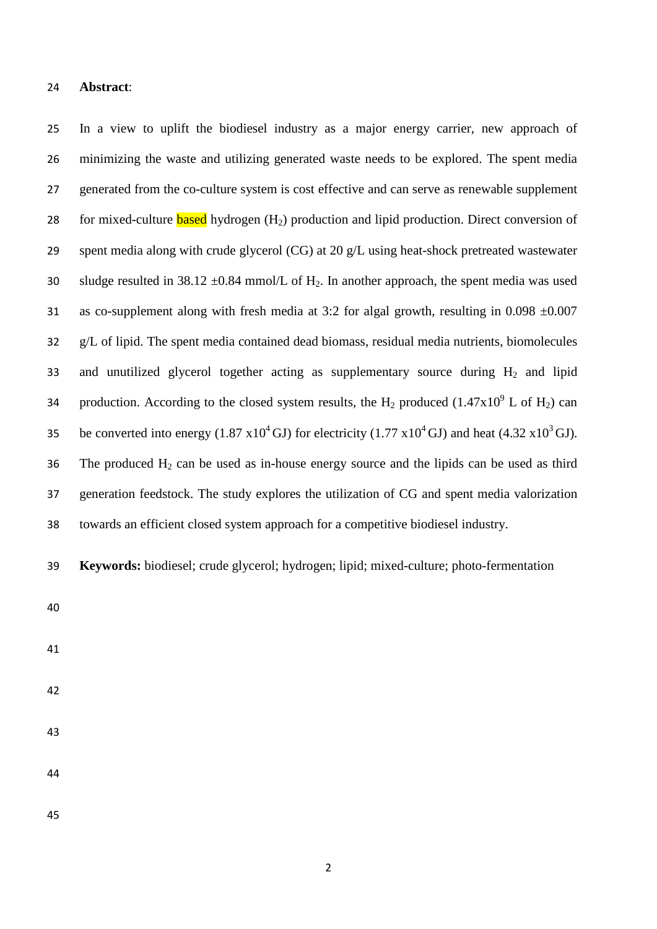### **Abstract**:

 In a view to uplift the biodiesel industry as a major energy carrier, new approach of minimizing the waste and utilizing generated waste needs to be explored. The spent media generated from the co-culture system is cost effective and can serve as renewable supplement 28 for mixed-culture **based** hydrogen  $(H_2)$  production and lipid production. Direct conversion of spent media along with crude glycerol (CG) at 20 g/L using heat-shock pretreated wastewater 30 sludge resulted in 38.12  $\pm$ 0.84 mmol/L of H<sub>2</sub>. In another approach, the spent media was used 31 as co-supplement along with fresh media at 3:2 for algal growth, resulting in 0.098  $\pm 0.007$  g/L of lipid. The spent media contained dead biomass, residual media nutrients, biomolecules 33 and unutilized glycerol together acting as supplementary source during  $H_2$  and lipid 34 production. According to the closed system results, the H<sub>2</sub> produced (1.47x10<sup>9</sup> L of H<sub>2</sub>) can be converted into energy  $(1.87 \times 10^4 \text{ GJ})$  for electricity  $(1.77 \times 10^4 \text{ GJ})$  and heat  $(4.32 \times 10^3 \text{ GJ})$ . 36 The produced  $H_2$  can be used as in-house energy source and the lipids can be used as third generation feedstock. The study explores the utilization of CG and spent media valorization towards an efficient closed system approach for a competitive biodiesel industry.

**Keywords:** biodiesel; crude glycerol; hydrogen; lipid; mixed-culture; photo-fermentation

- 
- 
- 
- 
- 
-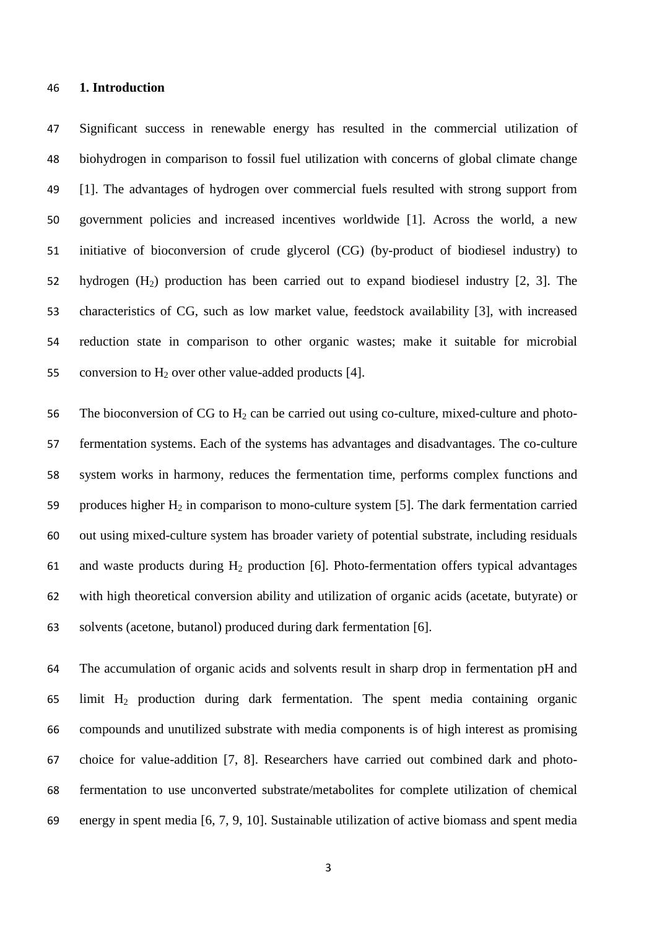### **1. Introduction**

 Significant success in renewable energy has resulted in the commercial utilization of biohydrogen in comparison to fossil fuel utilization with concerns of global climate change [1]. The advantages of hydrogen over commercial fuels resulted with strong support from government policies and increased incentives worldwide [1]. Across the world, a new initiative of bioconversion of crude glycerol (CG) (by-product of biodiesel industry) to hydrogen (H2) production has been carried out to expand biodiesel industry [2, 3]. The characteristics of CG, such as low market value, feedstock availability [3], with increased reduction state in comparison to other organic wastes; make it suitable for microbial 55 conversion to  $H_2$  over other value-added products [4].

56 The bioconversion of CG to  $H_2$  can be carried out using co-culture, mixed-culture and photo- fermentation systems. Each of the systems has advantages and disadvantages. The co-culture system works in harmony, reduces the fermentation time, performs complex functions and 59 produces higher  $H_2$  in comparison to mono-culture system [5]. The dark fermentation carried out using mixed-culture system has broader variety of potential substrate, including residuals 61 and waste products during  $H_2$  production [6]. Photo-fermentation offers typical advantages with high theoretical conversion ability and utilization of organic acids (acetate, butyrate) or solvents (acetone, butanol) produced during dark fermentation [6].

 The accumulation of organic acids and solvents result in sharp drop in fermentation pH and limit H2 production during dark fermentation. The spent media containing organic compounds and unutilized substrate with media components is of high interest as promising choice for value-addition [7, 8]. Researchers have carried out combined dark and photo- fermentation to use unconverted substrate/metabolites for complete utilization of chemical energy in spent media [6, 7, 9, 10]. Sustainable utilization of active biomass and spent media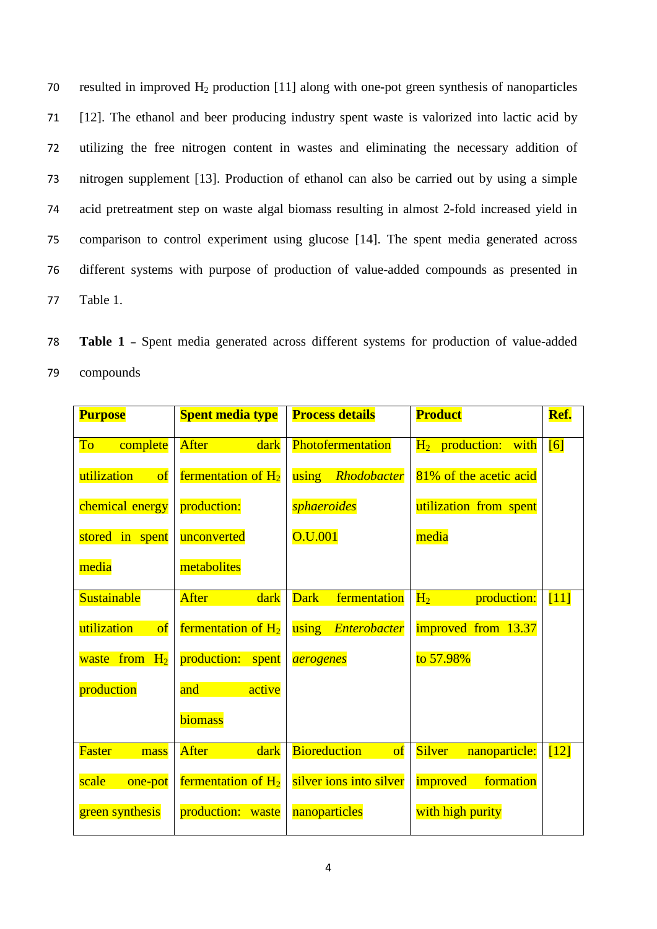70 resulted in improved  $H_2$  production [11] along with one-pot green synthesis of nanoparticles [12]. The ethanol and beer producing industry spent waste is valorized into lactic acid by utilizing the free nitrogen content in wastes and eliminating the necessary addition of nitrogen supplement [13]. Production of ethanol can also be carried out by using a simple acid pretreatment step on waste algal biomass resulting in almost 2-fold increased yield in comparison to control experiment using glucose [14]. The spent media generated across different systems with purpose of production of value-added compounds as presented in 77 Table 1.

78 **Table 1 –** Spent media generated across different systems for production of value-added 79 compounds

| <b>Purpose</b>           | <b>Spent media type</b> | <b>Process details</b>          | <b>Product</b>                 | Ref.            |
|--------------------------|-------------------------|---------------------------------|--------------------------------|-----------------|
| complete<br>To           | After<br>dark           | Photofermentation               | $H_2$ production: with         | [6]             |
| utilization<br>$\sigma$  | fermentation of $H_2$   | using<br>Rhodobacter            | 81% of the acetic acid         |                 |
| chemical energy          | production:             | <i>sphaeroides</i>              | utilization from spent         |                 |
| stored in spent          | unconverted             | O.U.001                         | media                          |                 |
| media                    | metabolites             |                                 |                                |                 |
| <b>Sustainable</b>       | After<br>dark           | <b>Dark</b><br>fermentation     | $H_2$<br>production:           | $[11]$          |
| utilization<br>$\bf{of}$ | fermentation of $H_2$   | using<br>Enterobacter           | improved from 13.37            |                 |
| waste from $H_2$         | production:<br>spent    | <i>aerogenes</i>                | to 57.98%                      |                 |
| production               | active<br>and           |                                 |                                |                 |
|                          | biomass                 |                                 |                                |                 |
| <b>Faster</b><br>mass    | <b>After</b><br>dark    | <b>Bioreduction</b><br>$\sigma$ | <b>Silver</b><br>nanoparticle: | $\overline{12}$ |
| scale<br>one-pot         | fermentation of $H_2$   | silver ions into silver         | <i>improved</i><br>formation   |                 |
| green synthesis          | production: waste       | nanoparticles                   | with high purity               |                 |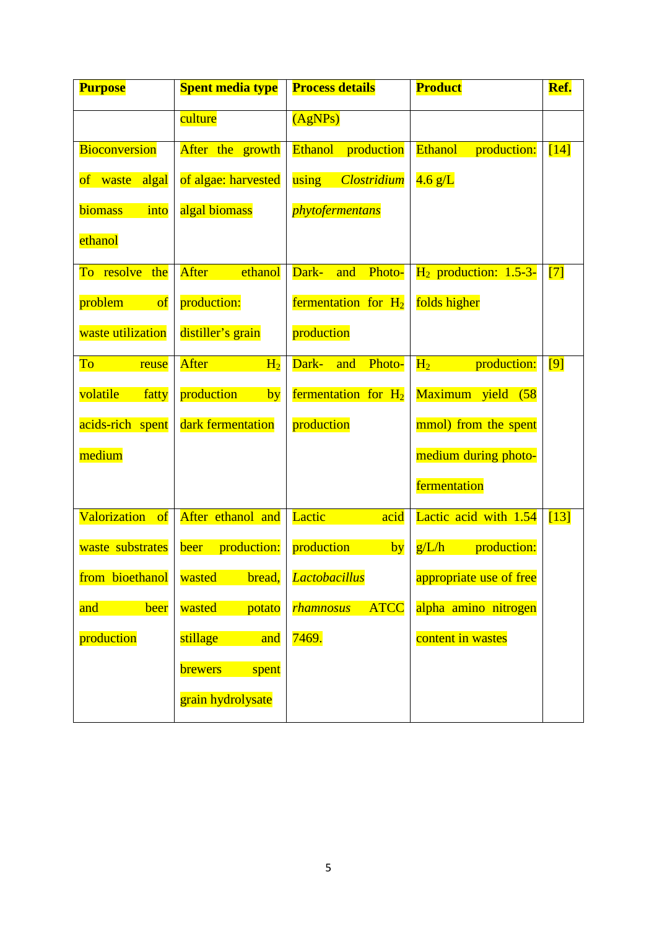| <b>Purpose</b>            | <b>Spent media type</b>    | <b>Process details</b>          | <b>Product</b>                | Ref.   |
|---------------------------|----------------------------|---------------------------------|-------------------------------|--------|
|                           | culture                    | (AgNPs)                         |                               |        |
| <b>Bioconversion</b>      | After the growth           | <b>Ethanol</b><br>production    | <b>Ethanol</b><br>production: | $[14]$ |
| algal<br>of waste         | of algae: harvested        | <b>Clostridium</b><br>using     | $4.6 \text{ g/L}$             |        |
| biomass<br>into           | algal biomass              | <i>phytofermentans</i>          |                               |        |
| ethanol                   |                            |                                 |                               |        |
| To resolve the            | After<br>ethanol           | Dark-<br>Photo-<br>and          | $H_2$ production: 1.5-3-      | $[7]$  |
| problem<br>$\sigma$       | production:                | fermentation for $H_2$          | folds higher                  |        |
| waste utilization         | distiller's grain          | production                      |                               |        |
| To<br>reuse               | After<br>H <sub>2</sub>    | Dark-<br><b>Photo-</b><br>and   | production:<br>$H_2$          | [9]    |
| volatile<br>fatty         | production<br>by           | fermentation for $H_2$          | Maximum yield (58             |        |
| acids-rich spent          | dark fermentation          | production                      | mmol) from the spent          |        |
| medium                    |                            |                                 | medium during photo-          |        |
|                           |                            |                                 | fermentation                  |        |
| <b>Valorization</b><br>of | After ethanol and          | Lactic<br>acid                  | Lactic acid with 1.54         | [13]   |
| waste substrates          | production:<br><b>beer</b> | production<br>by                | g/L/h<br>production:          |        |
| from bioethanol           | wasted<br>bread,           | <b>Lactobacillus</b>            | appropriate use of free       |        |
| and<br>beer               | wasted<br>potato           | <b>ATCC</b><br><b>rhamnosus</b> | alpha amino nitrogen          |        |
| production                | stillage<br>and            | 7469.                           | content in wastes             |        |
|                           | <b>brewers</b><br>spent    |                                 |                               |        |
|                           | grain hydrolysate          |                                 |                               |        |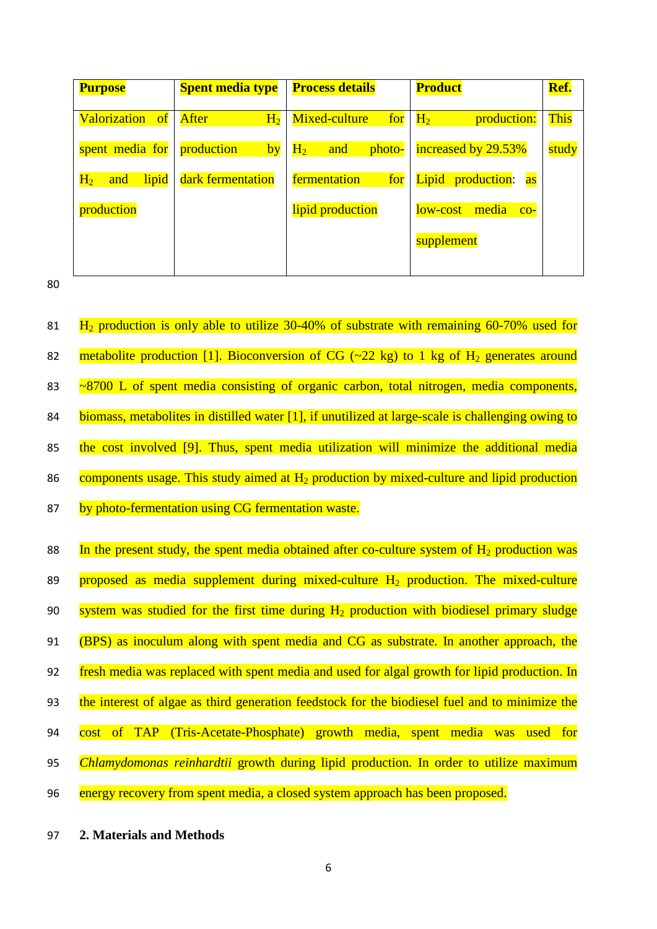| <b>Purpose</b>                              | <b>Spent media type</b>        | <b>Process details</b> | <b>Product</b>                 | Ref.        |
|---------------------------------------------|--------------------------------|------------------------|--------------------------------|-------------|
| <b>Valorization</b><br>of of $\overline{a}$ | <b>After</b><br>H <sub>2</sub> | Mixed-culture<br>for   | production:<br>H <sub>2</sub>  | <b>This</b> |
| spent media for                             | production<br>by               | $H_2$<br>and<br>photo- | increased by 29.53%            | study       |
| lipid<br>$H_2$<br>and                       | dark fermentation              | fermentation<br>for    | Lipid production:<br><b>as</b> |             |
| production                                  |                                | lipid production       | media<br>low-cost<br>$CO-$     |             |
|                                             |                                |                        | supplement                     |             |
|                                             |                                |                        |                                |             |

80

81  $\text{H}_2$  production is only able to utilize 30-40% of substrate with remaining 60-70% used for 82 metabolite production [1]. Bioconversion of CG  $(-22 \text{ kg})$  to 1 kg of H<sub>2</sub> generates around 83 ~8700 L of spent media consisting of organic carbon, total nitrogen, media components, 84 biomass, metabolites in distilled water [1], if unutilized at large-scale is challenging owing to 85 the cost involved [9]. Thus, spent media utilization will minimize the additional media 86 components usage. This study aimed at  $H_2$  production by mixed-culture and lipid production 87 by photo-fermentation using CG fermentation waste. 88 In the present study, the spent media obtained after co-culture system of  $H_2$  production was 89 proposed as media supplement during mixed-culture  $H_2$  production. The mixed-culture 90 system was studied for the first time during  $H_2$  production with biodiesel primary sludge 91 (BPS) as inoculum along with spent media and CG as substrate. In another approach, the 92 fresh media was replaced with spent media and used for algal growth for lipid production. In 93 the interest of algae as third generation feedstock for the biodiesel fuel and to minimize the 94 cost of TAP (Tris-Acetate-Phosphate) growth media, spent media was used for 95 *Chlamydomonas reinhardtii* growth during lipid production. In order to utilize maximum 96 energy recovery from spent media, a closed system approach has been proposed.

97 **2. Materials and Methods**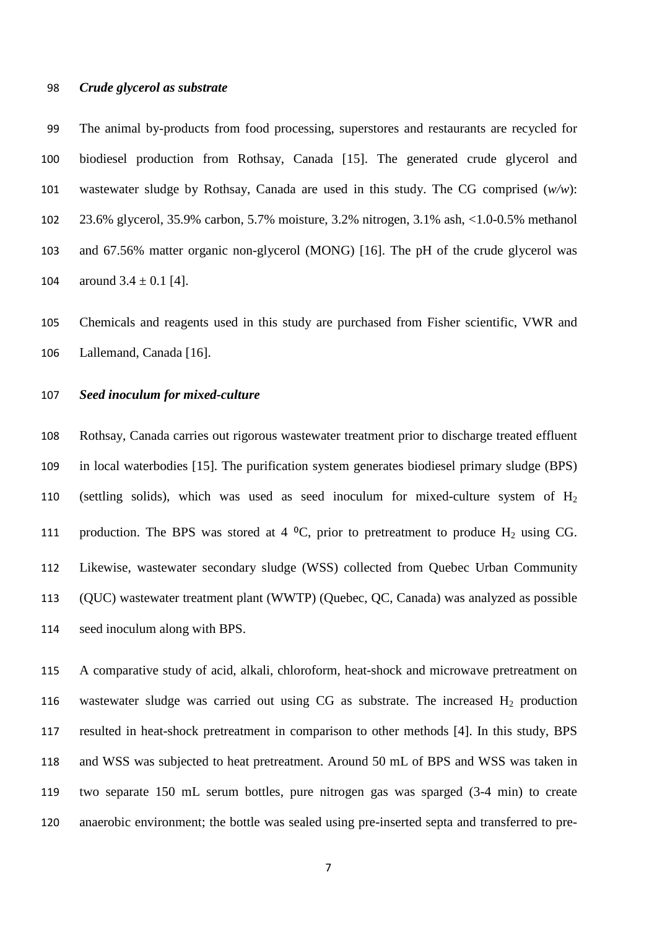#### *Crude glycerol as substrate*

 The animal by-products from food processing, superstores and restaurants are recycled for biodiesel production from Rothsay, Canada [15]. The generated crude glycerol and wastewater sludge by Rothsay, Canada are used in this study. The CG comprised (*w/w*): 23.6% glycerol, 35.9% carbon, 5.7% moisture, 3.2% nitrogen, 3.1% ash, <1.0-0.5% methanol and 67.56% matter organic non-glycerol (MONG) [16]. The pH of the crude glycerol was 104 around  $3.4 \pm 0.1$  [4].

 Chemicals and reagents used in this study are purchased from Fisher scientific, VWR and Lallemand, Canada [16].

# *Seed inoculum for mixed-culture*

 Rothsay, Canada carries out rigorous wastewater treatment prior to discharge treated effluent in local waterbodies [15]. The purification system generates biodiesel primary sludge (BPS) 110 (settling solids), which was used as seed inoculum for mixed-culture system of  $H_2$ 111 production. The BPS was stored at 4  $^{\circ}$ C, prior to pretreatment to produce H<sub>2</sub> using CG. Likewise, wastewater secondary sludge (WSS) collected from Quebec Urban Community (QUC) wastewater treatment plant (WWTP) (Quebec, QC, Canada) was analyzed as possible seed inoculum along with BPS.

 A comparative study of acid, alkali, chloroform, heat-shock and microwave pretreatment on 116 wastewater sludge was carried out using CG as substrate. The increased  $H_2$  production resulted in heat-shock pretreatment in comparison to other methods [4]. In this study, BPS and WSS was subjected to heat pretreatment. Around 50 mL of BPS and WSS was taken in two separate 150 mL serum bottles, pure nitrogen gas was sparged (3-4 min) to create anaerobic environment; the bottle was sealed using pre-inserted septa and transferred to pre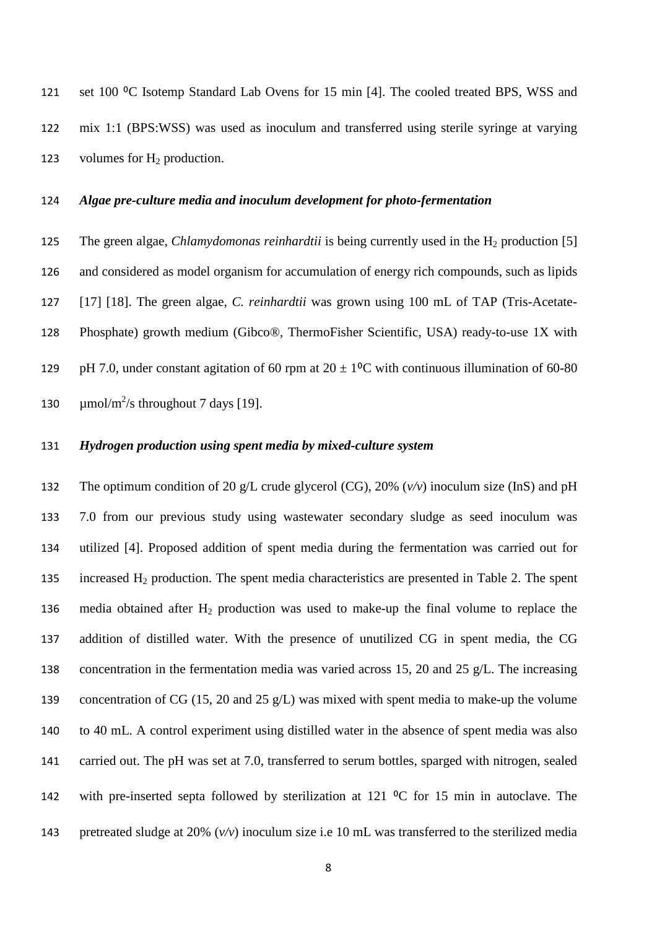121 set 100 °C Isotemp Standard Lab Ovens for 15 min [4]. The cooled treated BPS, WSS and mix 1:1 (BPS:WSS) was used as inoculum and transferred using sterile syringe at varying 123 volumes for  $H_2$  production.

# *Algae pre-culture media and inoculum development for photo-fermentation*

125 The green algae, *Chlamydomonas reinhardtii* is being currently used in the H<sub>2</sub> production [5] and considered as model organism for accumulation of energy rich compounds, such as lipids [17] [18]. The green algae, *C. reinhardtii* was grown using 100 mL of TAP (Tris-Acetate- Phosphate) growth medium (Gibco®, ThermoFisher Scientific, USA) ready-to-use 1X with 129 pH 7.0, under constant agitation of 60 rpm at  $20 \pm 1$ <sup>o</sup>C with continuous illumination of 60-80  $\mu$ mol/m<sup>2</sup>/s throughout 7 days [19].

### *Hydrogen production using spent media by mixed-culture system*

 The optimum condition of 20 g/L crude glycerol (CG), 20% (*v/v*) inoculum size (InS) and pH 7.0 from our previous study using wastewater secondary sludge as seed inoculum was utilized [4]. Proposed addition of spent media during the fermentation was carried out for 135 increased  $H_2$  production. The spent media characteristics are presented in Table 2. The spent 136 media obtained after  $H_2$  production was used to make-up the final volume to replace the addition of distilled water. With the presence of unutilized CG in spent media, the CG concentration in the fermentation media was varied across 15, 20 and 25 g/L. The increasing concentration of CG (15, 20 and 25 g/L) was mixed with spent media to make-up the volume to 40 mL. A control experiment using distilled water in the absence of spent media was also carried out. The pH was set at 7.0, transferred to serum bottles, sparged with nitrogen, sealed 142 with pre-inserted septa followed by sterilization at 121  $\rm{^0C}$  for 15 min in autoclave. The pretreated sludge at 20% (*v/v*) inoculum size i.e 10 mL was transferred to the sterilized media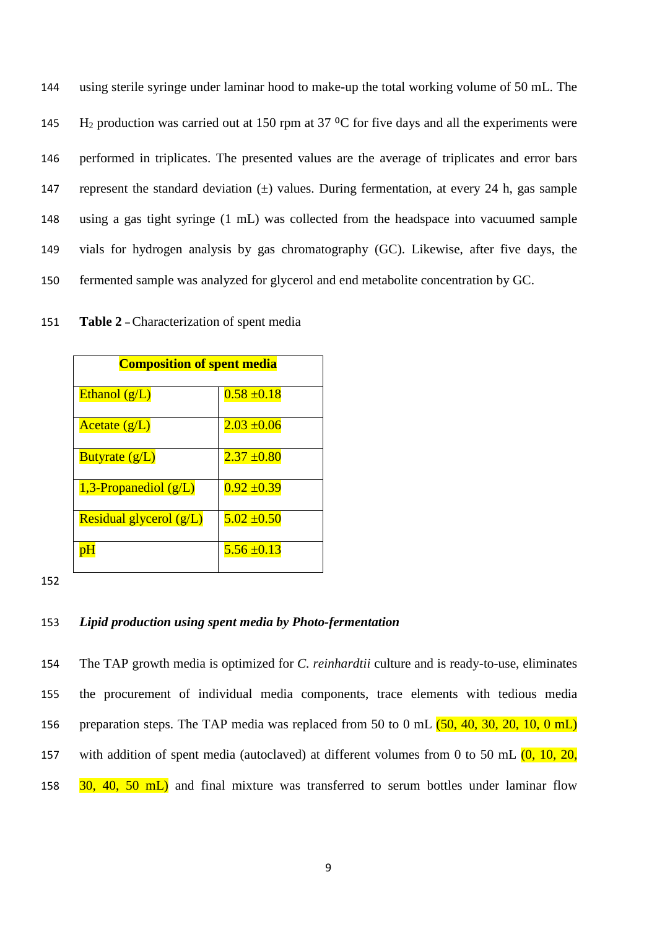using sterile syringe under laminar hood to make-up the total working volume of 50 mL. The 145 H<sub>2</sub> production was carried out at 150 rpm at 37  $\rm{^{\circ}C}$  for five days and all the experiments were performed in triplicates. The presented values are the average of triplicates and error bars 147 represent the standard deviation  $(\pm)$  values. During fermentation, at every 24 h, gas sample using a gas tight syringe (1 mL) was collected from the headspace into vacuumed sample vials for hydrogen analysis by gas chromatography (GC). Likewise, after five days, the fermented sample was analyzed for glycerol and end metabolite concentration by GC.

| <b>Composition of spent media</b> |                 |
|-----------------------------------|-----------------|
| Ethanol $(g/L)$                   | $0.58 \pm 0.18$ |
| Acetate $(g/L)$                   | $2.03 \pm 0.06$ |
| Butyrate $(g/L)$                  | $2.37 \pm 0.80$ |
| 1,3-Propanediol $(g/L)$           | $0.92 \pm 0.39$ |
| Residual glycerol $(g/L)$         | $5.02 \pm 0.50$ |
| рH                                | $5.56 \pm 0.13$ |

151 **Table 2 –**Characterization of spent media

152

# 153 *Lipid production using spent media by Photo-fermentation*

154 The TAP growth media is optimized for *C. reinhardtii* culture and is ready-to-use, eliminates 155 the procurement of individual media components, trace elements with tedious media 156 preparation steps. The TAP media was replaced from 50 to 0 mL  $(50, 40, 30, 20, 10, 0 \text{ mL})$ 157 with addition of spent media (autoclaved) at different volumes from 0 to 50 mL  $(0, 10, 20, 10)$ 158 30, 40, 50 mL) and final mixture was transferred to serum bottles under laminar flow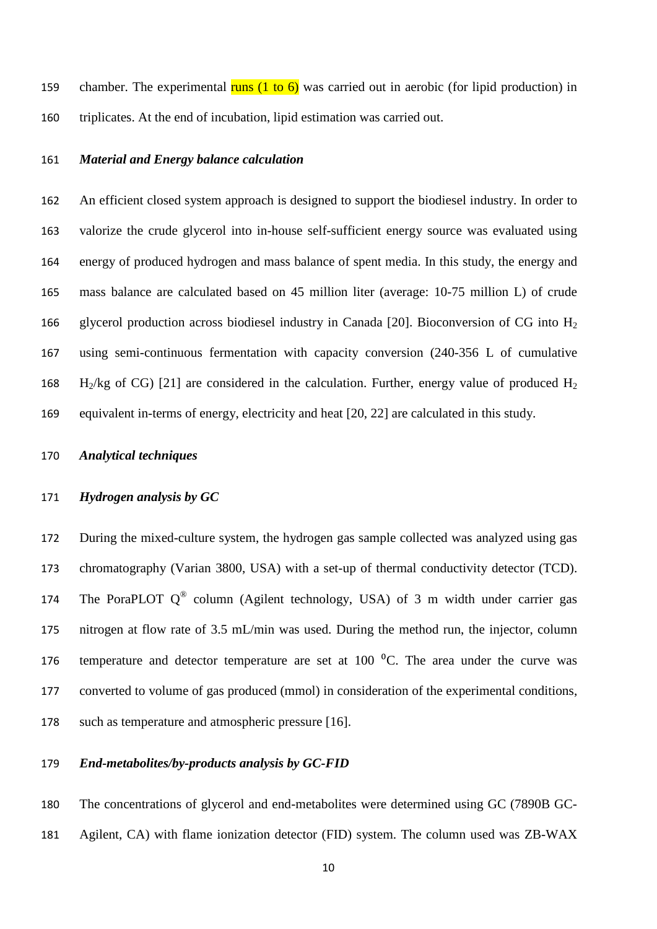159 chamber. The experimental runs  $(1 \text{ to } 6)$  was carried out in aerobic (for lipid production) in triplicates. At the end of incubation, lipid estimation was carried out.

# *Material and Energy balance calculation*

 An efficient closed system approach is designed to support the biodiesel industry. In order to valorize the crude glycerol into in-house self-sufficient energy source was evaluated using energy of produced hydrogen and mass balance of spent media. In this study, the energy and mass balance are calculated based on 45 million liter (average: 10-75 million L) of crude 166 glycerol production across biodiesel industry in Canada [20]. Bioconversion of CG into  $H_2$  using semi-continuous fermentation with capacity conversion (240-356 L of cumulative 168 H<sub>2</sub>/kg of CG) [21] are considered in the calculation. Further, energy value of produced H<sub>2</sub> equivalent in-terms of energy, electricity and heat [20, 22] are calculated in this study.

## *Analytical techniques*

# *Hydrogen analysis by GC*

 During the mixed-culture system, the hydrogen gas sample collected was analyzed using gas chromatography (Varian 3800, USA) with a set-up of thermal conductivity detector (TCD). 174 The PoraPLOT  $Q^{\circledast}$  column (Agilent technology, USA) of 3 m width under carrier gas nitrogen at flow rate of 3.5 mL/min was used. During the method run, the injector, column 176 temperature and detector temperature are set at  $100<sup>o</sup>C$ . The area under the curve was converted to volume of gas produced (mmol) in consideration of the experimental conditions, such as temperature and atmospheric pressure [16].

# *End-metabolites/by-products analysis by GC-FID*

 The concentrations of glycerol and end-metabolites were determined using GC (7890B GC-Agilent, CA) with flame ionization detector (FID) system. The column used was ZB-WAX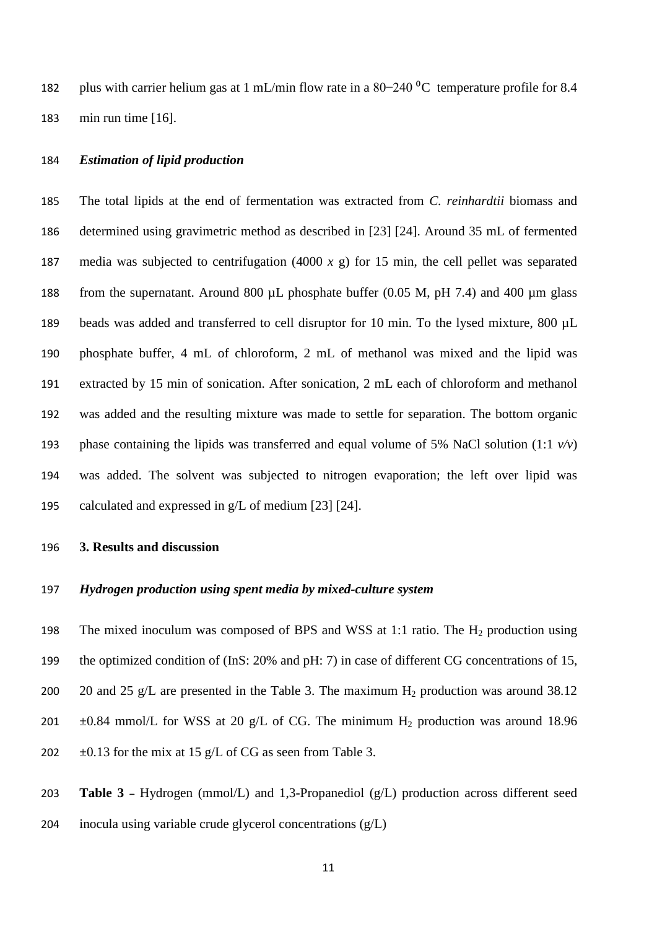182 plus with carrier helium gas at 1 mL/min flow rate in a  $80-240\degree$ C temperature profile for 8.4 min run time [16].

### *Estimation of lipid production*

 The total lipids at the end of fermentation was extracted from *C. reinhardtii* biomass and determined using gravimetric method as described in [23] [24]. Around 35 mL of fermented media was subjected to centrifugation (4000 *x* g) for 15 min, the cell pellet was separated from the supernatant. Around 800 µL phosphate buffer (0.05 M, pH 7.4) and 400 µm glass 189 beads was added and transferred to cell disruptor for 10 min. To the lysed mixture, 800 µL phosphate buffer, 4 mL of chloroform, 2 mL of methanol was mixed and the lipid was extracted by 15 min of sonication. After sonication, 2 mL each of chloroform and methanol was added and the resulting mixture was made to settle for separation. The bottom organic phase containing the lipids was transferred and equal volume of 5% NaCl solution (1:1 *v/v*) was added. The solvent was subjected to nitrogen evaporation; the left over lipid was calculated and expressed in g/L of medium [23] [24].

#### **3. Results and discussion**

# *Hydrogen production using spent media by mixed-culture system*

198 The mixed inoculum was composed of BPS and WSS at 1:1 ratio. The  $H_2$  production using the optimized condition of (InS: 20% and pH: 7) in case of different CG concentrations of 15, 200 20 and 25 g/L are presented in the Table 3. The maximum  $H_2$  production was around 38.12 201  $\pm$ 0.84 mmol/L for WSS at 20 g/L of CG. The minimum H<sub>2</sub> production was around 18.96 202  $\pm 0.13$  for the mix at 15 g/L of CG as seen from Table 3.

 **Table 3 –** Hydrogen (mmol/L) and 1,3-Propanediol (g/L) production across different seed inocula using variable crude glycerol concentrations (g/L)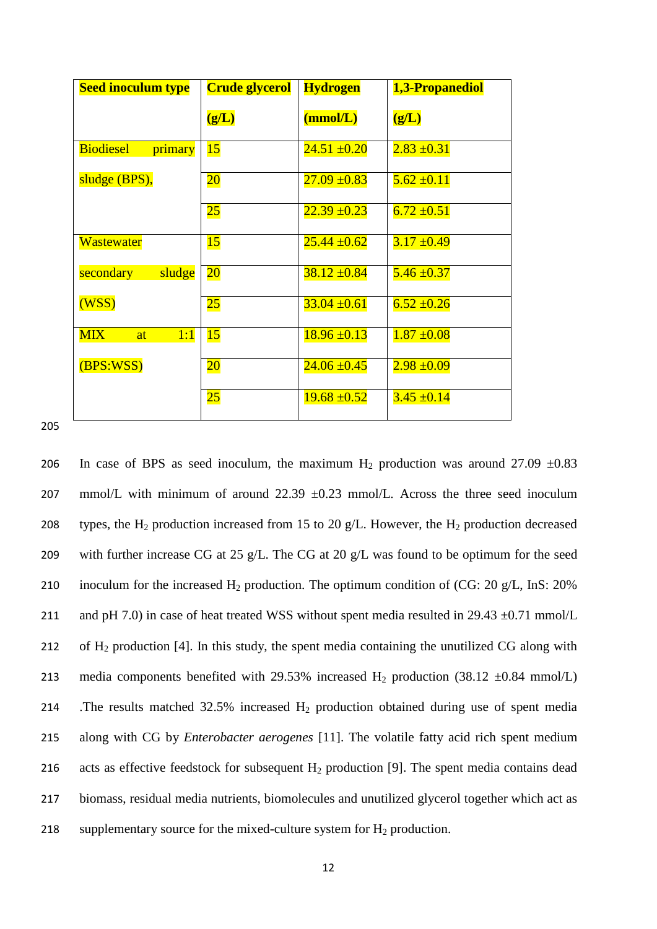| <b>Seed inoculum type</b>   | <b>Crude glycerol</b> | <b>Hydrogen</b>  | 1,3-Propanediol |
|-----------------------------|-----------------------|------------------|-----------------|
|                             | (g/L)                 | (mmol/L)         | (g/L)           |
| <b>Biodiesel</b><br>primary | 15                    | $24.51 \pm 0.20$ | $2.83 \pm 0.31$ |
| sludge (BPS),               | $\overline{20}$       | $27.09 \pm 0.83$ | $5.62 \pm 0.11$ |
|                             | $25\,$                | $22.39 + 0.23$   | $6.72 \pm 0.51$ |
| <b>Wastewater</b>           | 15                    | $25.44 \pm 0.62$ | $3.17 \pm 0.49$ |
| sludge<br>secondary         | $\overline{20}$       | $38.12 \pm 0.84$ | $5.46 \pm 0.37$ |
| (WSS)                       | $25\,$                | $33.04 \pm 0.61$ | $6.52 \pm 0.26$ |
| <b>MIX</b><br>1:1<br>at     | 15                    | $18.96 \pm 0.13$ | $1.87 + 0.08$   |
| (BPS:WSS)                   | $\overline{20}$       | $24.06 \pm 0.45$ | $2.98 + 0.09$   |
|                             | $25\,$                | $19.68 \pm 0.52$ | $3.45 \pm 0.14$ |

206 In case of BPS as seed inoculum, the maximum  $H_2$  production was around 27.09  $\pm 0.83$ 207 mmol/L with minimum of around  $22.39 \pm 0.23$  mmol/L. Across the three seed inoculum 208 types, the H<sub>2</sub> production increased from 15 to 20 g/L. However, the H<sub>2</sub> production decreased 209 with further increase CG at 25 g/L. The CG at 20 g/L was found to be optimum for the seed 210 inoculum for the increased  $H_2$  production. The optimum condition of (CG: 20 g/L, InS: 20%) 211 and pH 7.0) in case of heat treated WSS without spent media resulted in 29.43  $\pm$ 0.71 mmol/L 212 of  $H_2$  production [4]. In this study, the spent media containing the unutilized CG along with 213 media components benefited with 29.53% increased  $H_2$  production (38.12  $\pm 0.84$  mmol/L) 214 .The results matched 32.5% increased H<sub>2</sub> production obtained during use of spent media 215 along with CG by *Enterobacter aerogenes* [11]. The volatile fatty acid rich spent medium 216 acts as effective feedstock for subsequent  $H_2$  production [9]. The spent media contains dead 217 biomass, residual media nutrients, biomolecules and unutilized glycerol together which act as 218 supplementary source for the mixed-culture system for  $H_2$  production.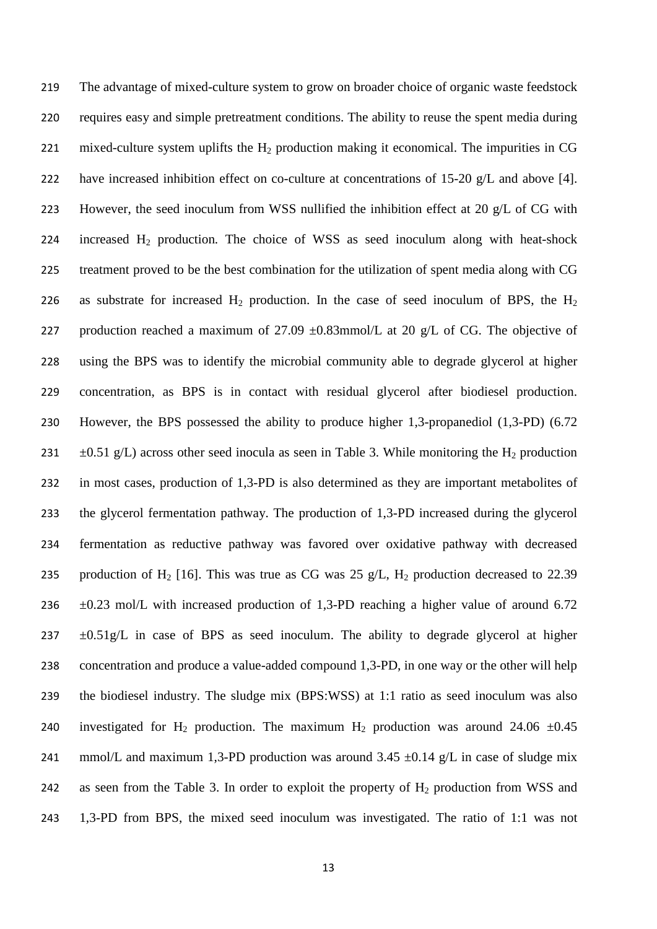219 The advantage of mixed-culture system to grow on broader choice of organic waste feedstock 220 requires easy and simple pretreatment conditions. The ability to reuse the spent media during 221 mixed-culture system uplifts the  $H_2$  production making it economical. The impurities in CG 222 have increased inhibition effect on co-culture at concentrations of 15-20 g/L and above [4]. 223 However, the seed inoculum from WSS nullified the inhibition effect at 20 g/L of CG with 224 increased  $H_2$  production. The choice of WSS as seed inoculum along with heat-shock 225 treatment proved to be the best combination for the utilization of spent media along with CG 226 as substrate for increased  $H_2$  production. In the case of seed inoculum of BPS, the  $H_2$ 227 production reached a maximum of 27.09  $\pm$ 0.83mmol/L at 20 g/L of CG. The objective of 228 using the BPS was to identify the microbial community able to degrade glycerol at higher 229 concentration, as BPS is in contact with residual glycerol after biodiesel production. 230 However, the BPS possessed the ability to produce higher 1,3-propanediol (1,3-PD) (6.72 231  $\pm$ 0.51 g/L) across other seed inocula as seen in Table 3. While monitoring the H<sub>2</sub> production 232 in most cases, production of 1,3-PD is also determined as they are important metabolites of 233 the glycerol fermentation pathway. The production of 1,3-PD increased during the glycerol 234 fermentation as reductive pathway was favored over oxidative pathway with decreased 235 production of H<sub>2</sub> [16]. This was true as CG was 25 g/L, H<sub>2</sub> production decreased to 22.39 236  $\pm 0.23$  mol/L with increased production of 1,3-PD reaching a higher value of around 6.72  $237 \pm 0.51$  g/L in case of BPS as seed inoculum. The ability to degrade glycerol at higher 238 concentration and produce a value-added compound 1,3-PD, in one way or the other will help 239 the biodiesel industry. The sludge mix (BPS:WSS) at 1:1 ratio as seed inoculum was also 240 investigated for H<sub>2</sub> production. The maximum H<sub>2</sub> production was around 24.06  $\pm 0.45$ 241 mmol/L and maximum 1,3-PD production was around  $3.45 \pm 0.14$  g/L in case of sludge mix 242 as seen from the Table 3. In order to exploit the property of  $H_2$  production from WSS and 243 1,3-PD from BPS, the mixed seed inoculum was investigated. The ratio of 1:1 was not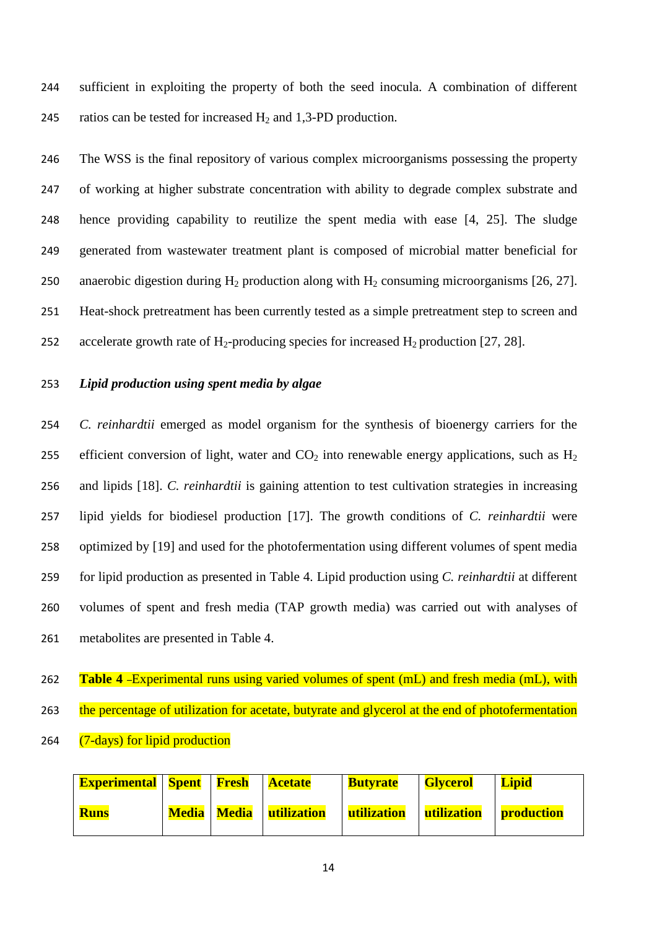244 sufficient in exploiting the property of both the seed inocula. A combination of different 245 ratios can be tested for increased  $H_2$  and 1,3-PD production.

 The WSS is the final repository of various complex microorganisms possessing the property of working at higher substrate concentration with ability to degrade complex substrate and hence providing capability to reutilize the spent media with ease [4, 25]. The sludge generated from wastewater treatment plant is composed of microbial matter beneficial for 250 anaerobic digestion during  $H_2$  production along with  $H_2$  consuming microorganisms [26, 27]. Heat-shock pretreatment has been currently tested as a simple pretreatment step to screen and 252 accelerate growth rate of  $H_2$ -producing species for increased  $H_2$  production [27, 28].

# 253 *Lipid production using spent media by algae*

 *C. reinhardtii* emerged as model organism for the synthesis of bioenergy carriers for the 255 efficient conversion of light, water and  $CO<sub>2</sub>$  into renewable energy applications, such as H<sub>2</sub> and lipids [18]. *C. reinhardtii* is gaining attention to test cultivation strategies in increasing lipid yields for biodiesel production [17]. The growth conditions of *C. reinhardtii* were optimized by [19] and used for the photofermentation using different volumes of spent media for lipid production as presented in Table 4. Lipid production using *C. reinhardtii* at different volumes of spent and fresh media (TAP growth media) was carried out with analyses of metabolites are presented in Table 4.

- 262 **Table 4** –Experimental runs using varied volumes of spent (mL) and fresh media (mL), with 263 the percentage of utilization for acetate, butyrate and glycerol at the end of photofermentation
- 264 (7-days) for lipid production

| <b>Experimental   Spent   Fresh   Acetate</b> |  |                                    | <b>Butyrate</b>          | Glycerol           | <b>Lipid</b>      |
|-----------------------------------------------|--|------------------------------------|--------------------------|--------------------|-------------------|
| <b>Runs</b>                                   |  | <b>Media   Media   utilization</b> | <mark>utilization</mark> | <b>utilization</b> | <b>production</b> |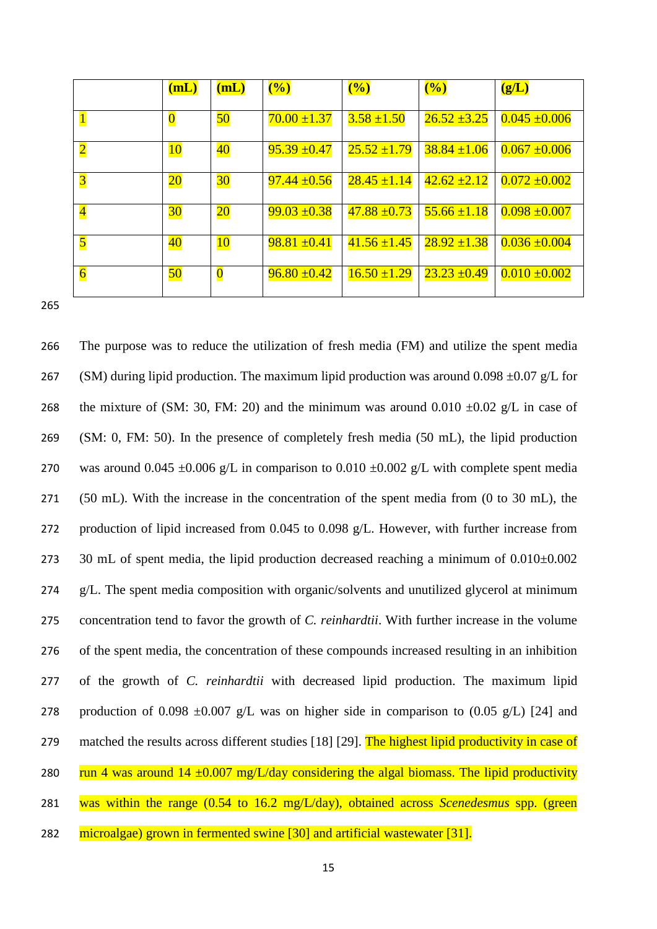|                         | (mL)                    | (mL)                    | $\frac{1}{2}$    | $\frac{1}{2}$    | (%)              | (g/L)             |
|-------------------------|-------------------------|-------------------------|------------------|------------------|------------------|-------------------|
|                         | $\overline{\mathbf{0}}$ | 50                      | $70.00 \pm 1.37$ | $3.58 \pm 1.50$  | $26.52 \pm 3.25$ | $0.045 \pm 0.006$ |
| $\overline{2}$          | <b>10</b>               | 40                      | $95.39 \pm 0.47$ | $25.52 \pm 1.79$ | $38.84 \pm 1.06$ | $0.067 \pm 0.006$ |
| $\overline{3}$          | $\overline{20}$         | $30\,$                  | $97.44 \pm 0.56$ | $28.45 \pm 1.14$ | $42.62 \pm 2.12$ | $0.072 \pm 0.002$ |
| $\overline{\mathbf{4}}$ | 30                      | $20\,$                  | $99.03 \pm 0.38$ | $47.88 \pm 0.73$ | $55.66 \pm 1.18$ | $0.098 \pm 0.007$ |
| $\overline{\mathbf{5}}$ | $\overline{40}$         | <b>10</b>               | $98.81 \pm 0.41$ | $41.56 \pm 1.45$ | $28.92 \pm 1.38$ | $0.036 \pm 0.004$ |
| $\overline{6}$          | 50                      | $\overline{\mathbf{0}}$ | $96.80 \pm 0.42$ | $16.50 \pm 1.29$ | $23.23 \pm 0.49$ | $0.010 + 0.002$   |

 The purpose was to reduce the utilization of fresh media (FM) and utilize the spent media 267 (SM) during lipid production. The maximum lipid production was around  $0.098 \pm 0.07$  g/L for 268 the mixture of (SM: 30, FM: 20) and the minimum was around  $0.010 \pm 0.02$  g/L in case of (SM: 0, FM: 50). In the presence of completely fresh media (50 mL), the lipid production 270 was around  $0.045 \pm 0.006$  g/L in comparison to  $0.010 \pm 0.002$  g/L with complete spent media (50 mL). With the increase in the concentration of the spent media from (0 to 30 mL), the 272 production of lipid increased from 0.045 to 0.098 g/L. However, with further increase from 273 30 mL of spent media, the lipid production decreased reaching a minimum of  $0.010\pm0.002$ 274 g/L. The spent media composition with organic/solvents and unutilized glycerol at minimum concentration tend to favor the growth of *C. reinhardtii*. With further increase in the volume of the spent media, the concentration of these compounds increased resulting in an inhibition of the growth of *C. reinhardtii* with decreased lipid production. The maximum lipid 278 production of 0.098  $\pm$ 0.007 g/L was on higher side in comparison to (0.05 g/L) [24] and 279 matched the results across different studies [18] [29]. The highest lipid productivity in case of 280 run 4 was around  $14 \pm 0.007$  mg/L/day considering the algal biomass. The lipid productivity was within the range (0.54 to 16.2 mg/L/day), obtained across *Scenedesmus* spp. (green microalgae) grown in fermented swine [30] and artificial wastewater [31].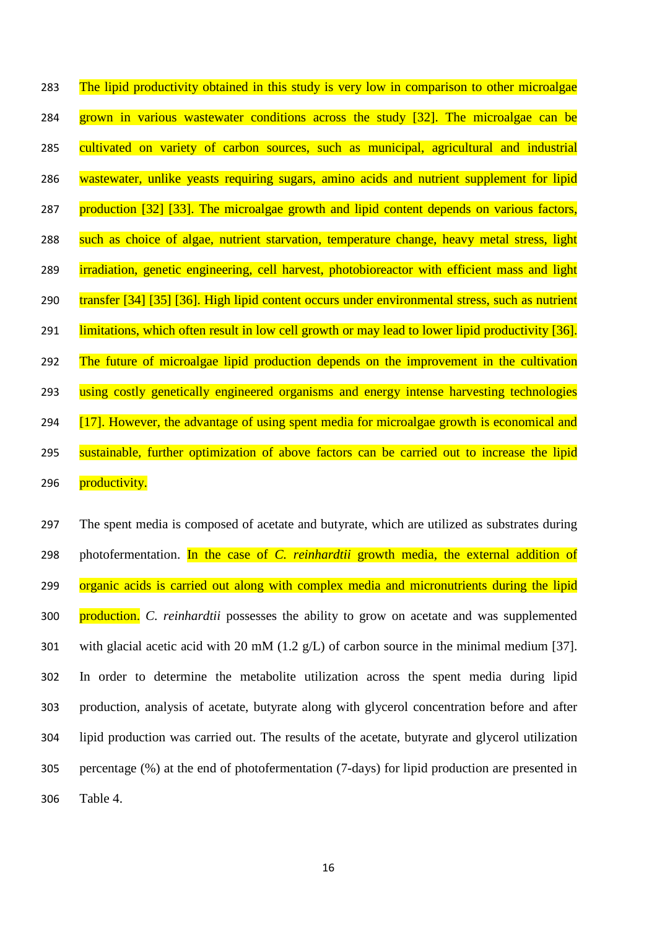283 The lipid productivity obtained in this study is very low in comparison to other microalgae 284 grown in various wastewater conditions across the study [32]. The microalgae can be 285 cultivated on variety of carbon sources, such as municipal, agricultural and industrial 286 wastewater, unlike yeasts requiring sugars, amino acids and nutrient supplement for lipid 287 production [32] [33]. The microalgae growth and lipid content depends on various factors, 288 such as choice of algae, nutrient starvation, temperature change, heavy metal stress, light 289 irradiation, genetic engineering, cell harvest, photobioreactor with efficient mass and light 290 transfer [34] [35] [36]. High lipid content occurs under environmental stress, such as nutrient 291 limitations, which often result in low cell growth or may lead to lower lipid productivity [36]. 292 The future of microalgae lipid production depends on the improvement in the cultivation 293 using costly genetically engineered organisms and energy intense harvesting technologies 294 [17]. However, the advantage of using spent media for microalgae growth is economical and 295 sustainable, further optimization of above factors can be carried out to increase the lipid 296 productivity.

 The spent media is composed of acetate and butyrate, which are utilized as substrates during photofermentation. In the case of *C. reinhardtii* growth media, the external addition of 299 organic acids is carried out along with complex media and micronutrients during the lipid production. *C. reinhardtii* possesses the ability to grow on acetate and was supplemented 301 with glacial acetic acid with 20 mM (1.2  $g/L$ ) of carbon source in the minimal medium [37]. In order to determine the metabolite utilization across the spent media during lipid production, analysis of acetate, butyrate along with glycerol concentration before and after lipid production was carried out. The results of the acetate, butyrate and glycerol utilization percentage (%) at the end of photofermentation (7-days) for lipid production are presented in 306 Table 4.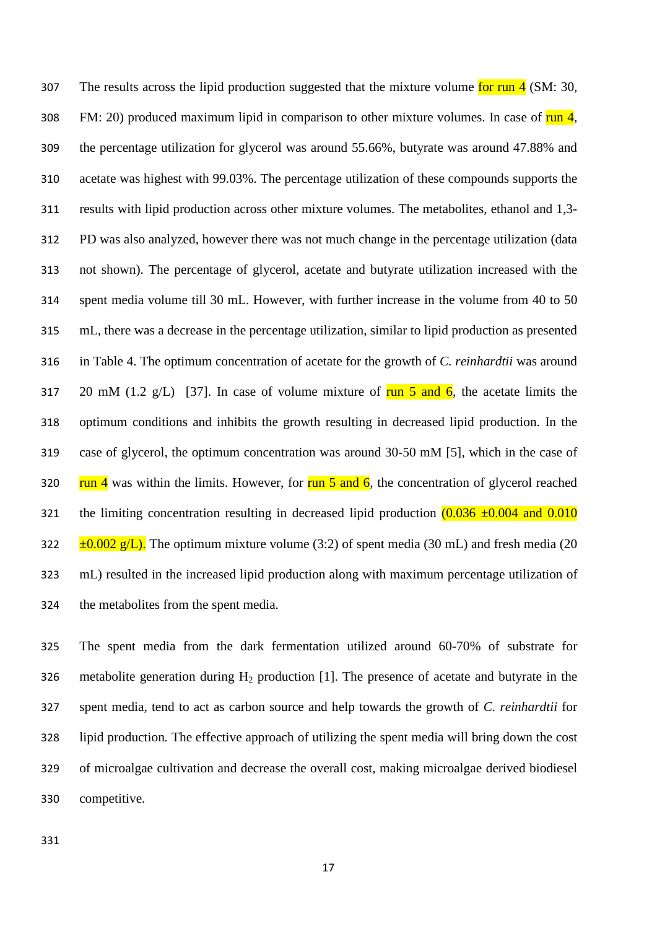307 The results across the lipid production suggested that the mixture volume for run (SM: 30, 308 FM: 20) produced maximum lipid in comparison to other mixture volumes. In case of run 4, the percentage utilization for glycerol was around 55.66%, butyrate was around 47.88% and acetate was highest with 99.03%. The percentage utilization of these compounds supports the results with lipid production across other mixture volumes. The metabolites, ethanol and 1,3- PD was also analyzed, however there was not much change in the percentage utilization (data not shown). The percentage of glycerol, acetate and butyrate utilization increased with the spent media volume till 30 mL. However, with further increase in the volume from 40 to 50 mL, there was a decrease in the percentage utilization, similar to lipid production as presented in Table 4. The optimum concentration of acetate for the growth of *C. reinhardtii* was around 317 20 mM (1.2 g/L) [37]. In case of volume mixture of  $\frac{\pi n}{5}$  and 6, the acetate limits the optimum conditions and inhibits the growth resulting in decreased lipid production. In the case of glycerol, the optimum concentration was around 30-50 mM [5], which in the case of 320 run 4 was within the limits. However, for run 5 and 6, the concentration of glycerol reached 321 the limiting concentration resulting in decreased lipid production  $(0.036 \pm 0.004$  and  $0.010$  $\pm 0.002$  g/L). The optimum mixture volume (3:2) of spent media (30 mL) and fresh media (20 mL) resulted in the increased lipid production along with maximum percentage utilization of the metabolites from the spent media.

 The spent media from the dark fermentation utilized around 60-70% of substrate for 326 metabolite generation during  $H_2$  production [1]. The presence of acetate and butyrate in the spent media, tend to act as carbon source and help towards the growth of *C. reinhardtii* for lipid production*.* The effective approach of utilizing the spent media will bring down the cost of microalgae cultivation and decrease the overall cost, making microalgae derived biodiesel competitive.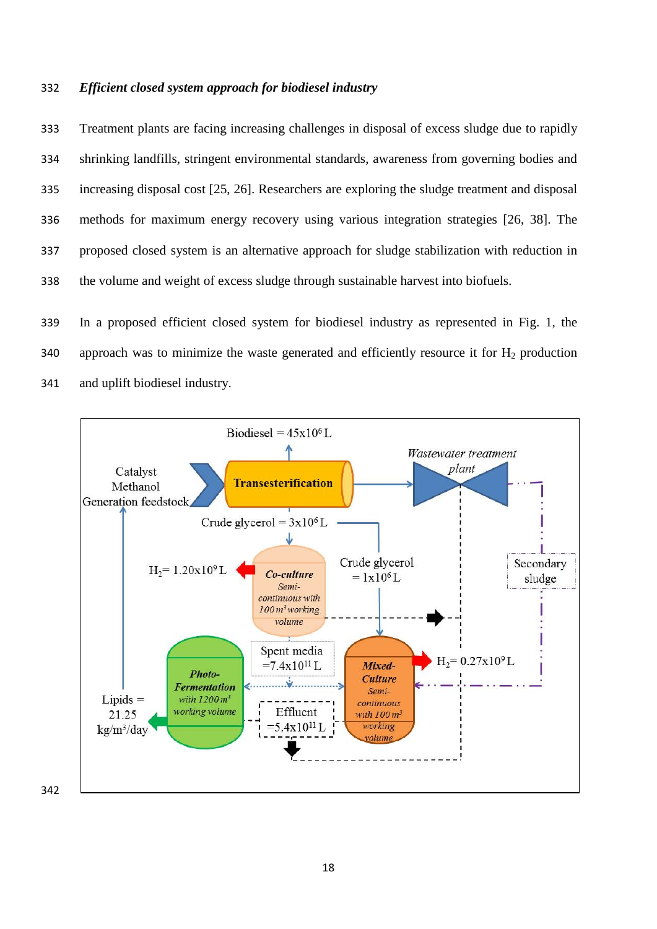### *Efficient closed system approach for biodiesel industry*

 Treatment plants are facing increasing challenges in disposal of excess sludge due to rapidly shrinking landfills, stringent environmental standards, awareness from governing bodies and increasing disposal cost [25, 26]. Researchers are exploring the sludge treatment and disposal methods for maximum energy recovery using various integration strategies [26, 38]. The proposed closed system is an alternative approach for sludge stabilization with reduction in the volume and weight of excess sludge through sustainable harvest into biofuels.

 In a proposed efficient closed system for biodiesel industry as represented in Fig. 1, the 340 approach was to minimize the waste generated and efficiently resource it for  $H_2$  production and uplift biodiesel industry.

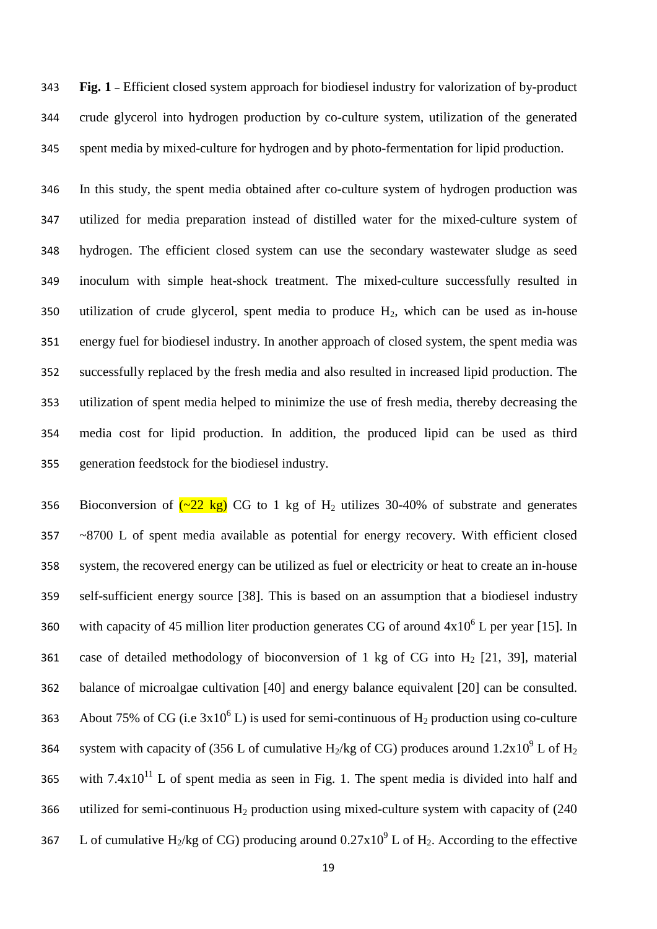**Fig. 1** – Efficient closed system approach for biodiesel industry for valorization of by-product crude glycerol into hydrogen production by co-culture system, utilization of the generated spent media by mixed-culture for hydrogen and by photo-fermentation for lipid production.

 In this study, the spent media obtained after co-culture system of hydrogen production was utilized for media preparation instead of distilled water for the mixed-culture system of hydrogen. The efficient closed system can use the secondary wastewater sludge as seed inoculum with simple heat-shock treatment. The mixed-culture successfully resulted in 350 utilization of crude glycerol, spent media to produce  $H_2$ , which can be used as in-house energy fuel for biodiesel industry. In another approach of closed system, the spent media was successfully replaced by the fresh media and also resulted in increased lipid production. The utilization of spent media helped to minimize the use of fresh media, thereby decreasing the media cost for lipid production. In addition, the produced lipid can be used as third generation feedstock for the biodiesel industry.

356 Bioconversion of  $\left(\frac{22 \text{ kg}}{2} \right)$  CG to 1 kg of H<sub>2</sub> utilizes 30-40% of substrate and generates ~8700 L of spent media available as potential for energy recovery. With efficient closed system, the recovered energy can be utilized as fuel or electricity or heat to create an in-house self-sufficient energy source [38]. This is based on an assumption that a biodiesel industry 360 with capacity of 45 million liter production generates CG of around  $4x10^6$  L per year [15]. In 361 case of detailed methodology of bioconversion of 1 kg of CG into  $H_2$  [21, 39], material balance of microalgae cultivation [40] and energy balance equivalent [20] can be consulted. 363 About 75% of CG (i.e  $3x10^6$  L) is used for semi-continuous of H<sub>2</sub> production using co-culture system with capacity of (356 L of cumulative H<sub>2</sub>/kg of CG) produces around  $1.2x10^9$  L of H<sub>2</sub> 365 with  $7.4 \times 10^{11}$  L of spent media as seen in Fig. 1. The spent media is divided into half and 366 utilized for semi-continuous  $H_2$  production using mixed-culture system with capacity of (240) 267 L of cumulative H<sub>2</sub>/kg of CG) producing around  $0.27 \times 10^9$  L of H<sub>2</sub>. According to the effective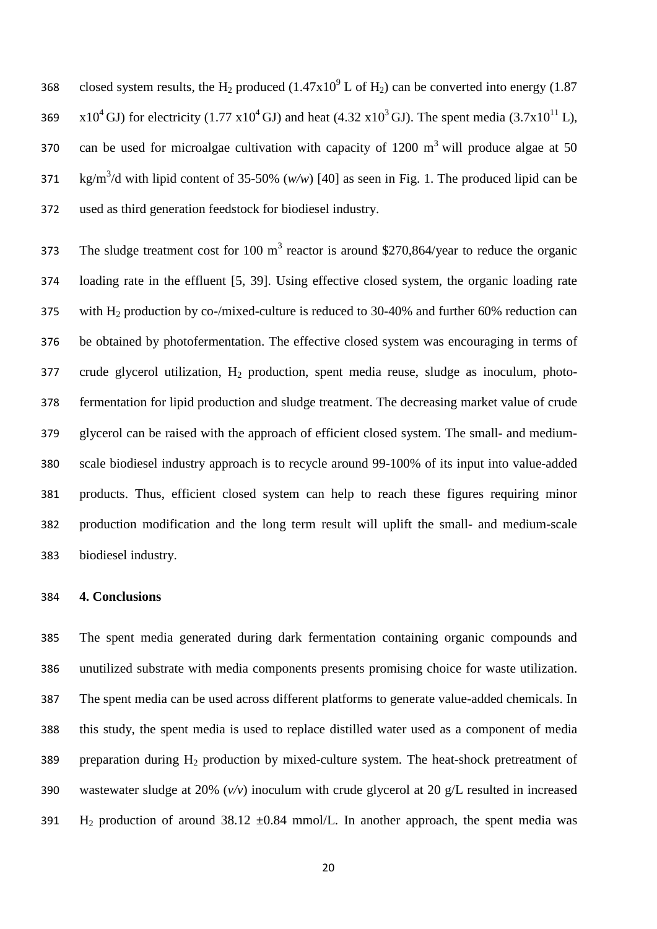368 closed system results, the H<sub>2</sub> produced (1.47x10<sup>9</sup> L of H<sub>2</sub>) can be converted into energy (1.87 369 x10<sup>4</sup> GJ) for electricity (1.77 x10<sup>4</sup> GJ) and heat (4.32 x10<sup>3</sup> GJ). The spent media (3.7x10<sup>11</sup> L), 370 can be used for microalgae cultivation with capacity of  $1200 \text{ m}^3$  will produce algae at 50  $\frac{1}{271}$  kg/m<sup>3</sup>/d with lipid content of 35-50% (*w/w*) [40] as seen in Fig. 1. The produced lipid can be used as third generation feedstock for biodiesel industry.

The sludge treatment cost for 100  $m<sup>3</sup>$  reactor is around \$270,864/year to reduce the organic loading rate in the effluent [5, 39]. Using effective closed system, the organic loading rate 375 with  $H_2$  production by co-/mixed-culture is reduced to 30-40% and further 60% reduction can be obtained by photofermentation. The effective closed system was encouraging in terms of crude glycerol utilization,  $H_2$  production, spent media reuse, sludge as inoculum, photo- fermentation for lipid production and sludge treatment. The decreasing market value of crude glycerol can be raised with the approach of efficient closed system. The small- and medium- scale biodiesel industry approach is to recycle around 99-100% of its input into value-added products. Thus, efficient closed system can help to reach these figures requiring minor production modification and the long term result will uplift the small- and medium-scale biodiesel industry.

## **4. Conclusions**

 The spent media generated during dark fermentation containing organic compounds and unutilized substrate with media components presents promising choice for waste utilization. The spent media can be used across different platforms to generate value-added chemicals. In this study, the spent media is used to replace distilled water used as a component of media 389 preparation during  $H_2$  production by mixed-culture system. The heat-shock pretreatment of wastewater sludge at 20% (*v/v*) inoculum with crude glycerol at 20 g/L resulted in increased 391 H<sub>2</sub> production of around 38.12  $\pm 0.84$  mmol/L. In another approach, the spent media was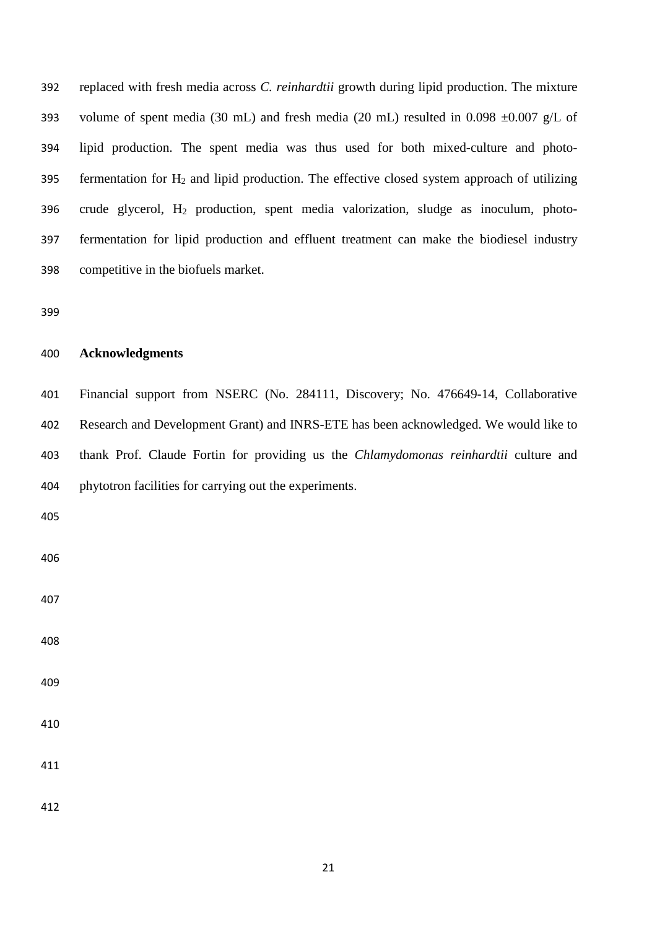replaced with fresh media across *C. reinhardtii* growth during lipid production. The mixture 393 volume of spent media (30 mL) and fresh media (20 mL) resulted in 0.098  $\pm$ 0.007 g/L of lipid production. The spent media was thus used for both mixed-culture and photo-395 fermentation for  $H_2$  and lipid production. The effective closed system approach of utilizing 396 crude glycerol,  $H_2$  production, spent media valorization, sludge as inoculum, photo- fermentation for lipid production and effluent treatment can make the biodiesel industry competitive in the biofuels market.

### **Acknowledgments**

 Financial support from NSERC (No. 284111, Discovery; No. 476649-14, Collaborative Research and Development Grant) and INRS-ETE has been acknowledged. We would like to thank Prof. Claude Fortin for providing us the *Chlamydomonas reinhardtii* culture and phytotron facilities for carrying out the experiments.

- 
-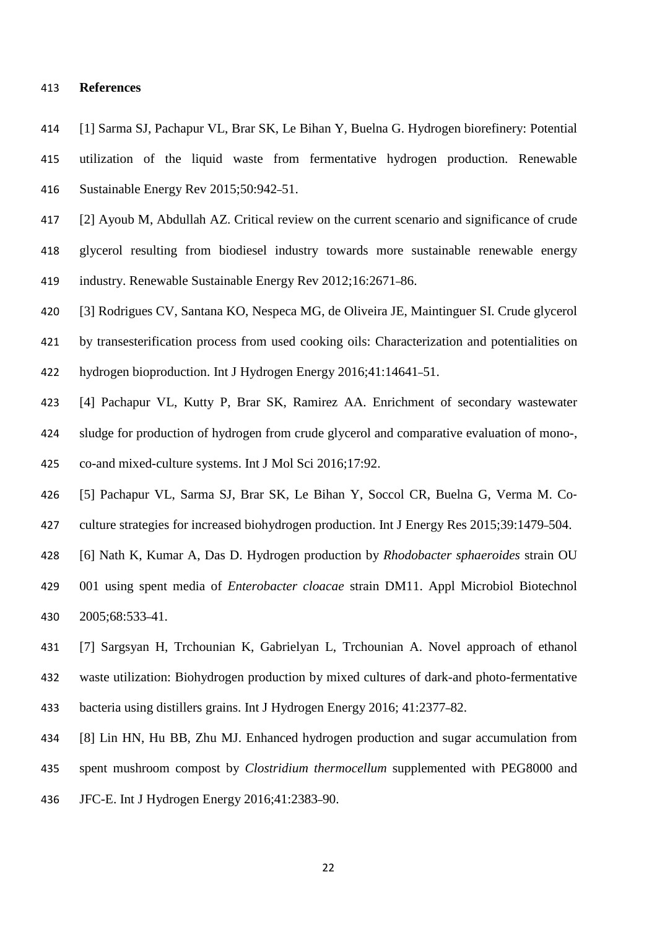### **References**

- [1] Sarma SJ, Pachapur VL, Brar SK, Le Bihan Y, Buelna G. Hydrogen biorefinery: Potential utilization of the liquid waste from fermentative hydrogen production. Renewable Sustainable Energy Rev 2015;50:942–51.
- [2] Ayoub M, Abdullah AZ. Critical review on the current scenario and significance of crude
- glycerol resulting from biodiesel industry towards more sustainable renewable energy industry. Renewable Sustainable Energy Rev 2012;16:2671–86.
- [3] Rodrigues CV, Santana KO, Nespeca MG, de Oliveira JE, Maintinguer SI. Crude glycerol
- by transesterification process from used cooking oils: Characterization and potentialities on
- hydrogen bioproduction. Int J Hydrogen Energy 2016;41:14641–51.
- [4] Pachapur VL, Kutty P, Brar SK, Ramirez AA. Enrichment of secondary wastewater sludge for production of hydrogen from crude glycerol and comparative evaluation of mono-,
- co-and mixed-culture systems. Int J Mol Sci 2016;17:92.
- [5] Pachapur VL, Sarma SJ, Brar SK, Le Bihan Y, Soccol CR, Buelna G, Verma M. Co‐
- culture strategies for increased biohydrogen production. Int J Energy Res 2015;39:1479–504.
- [6] Nath K, Kumar A, Das D. Hydrogen production by *Rhodobacter sphaeroides* strain OU
- 001 using spent media of *Enterobacter cloacae* strain DM11. Appl Microbiol Biotechnol 2005;68:533–41.
- [7] Sargsyan H, Trchounian K, Gabrielyan L, Trchounian A. Novel approach of ethanol waste utilization: Biohydrogen production by mixed cultures of dark-and photo-fermentative bacteria using distillers grains. Int J Hydrogen Energy 2016; 41:2377–82.
- [8] Lin HN, Hu BB, Zhu MJ. Enhanced hydrogen production and sugar accumulation from
- spent mushroom compost by *Clostridium thermocellum* supplemented with PEG8000 and
- JFC-E. Int J Hydrogen Energy 2016;41:2383–90.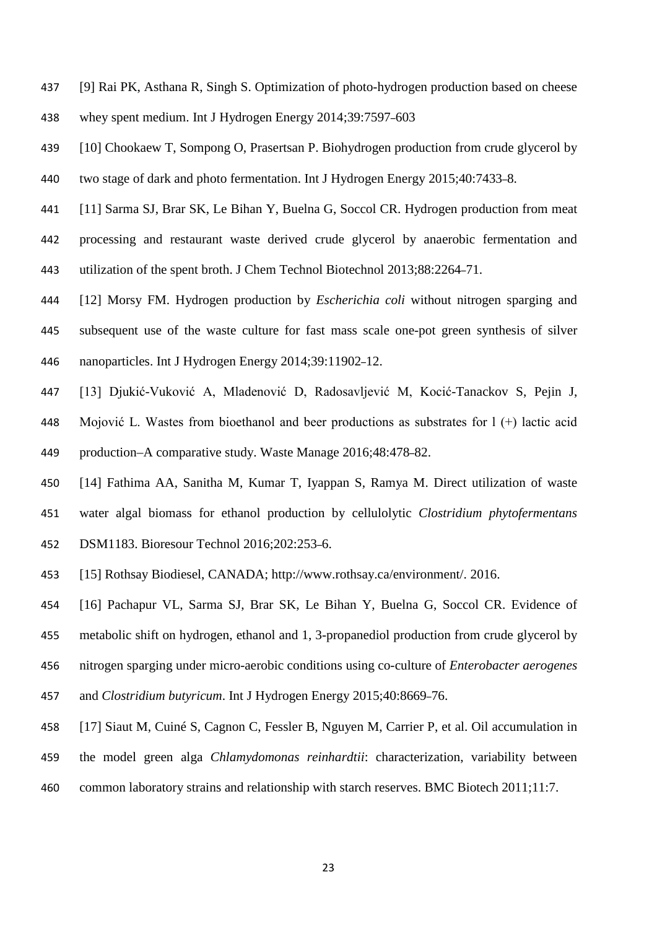- [9] Rai PK, Asthana R, Singh S. Optimization of photo-hydrogen production based on cheese
- whey spent medium. Int J Hydrogen Energy 2014;39:7597–603
- [10] Chookaew T, Sompong O, Prasertsan P. Biohydrogen production from crude glycerol by two stage of dark and photo fermentation. Int J Hydrogen Energy 2015;40:7433–8.
- [11] Sarma SJ, Brar SK, Le Bihan Y, Buelna G, Soccol CR. Hydrogen production from meat processing and restaurant waste derived crude glycerol by anaerobic fermentation and utilization of the spent broth. J Chem Technol Biotechnol 2013;88:2264–71.
- [12] Morsy FM. Hydrogen production by *Escherichia coli* without nitrogen sparging and subsequent use of the waste culture for fast mass scale one-pot green synthesis of silver nanoparticles. Int J Hydrogen Energy 2014;39:11902–12.
- [13] Djukić-Vuković A, Mladenović D, Radosavljević M, Kocić-Tanackov S, Pejin J, Mojović L. Wastes from bioethanol and beer productions as substrates for l (+) lactic acid production–A comparative study. Waste Manage 2016;48:478–82.
- [14] Fathima AA, Sanitha M, Kumar T, Iyappan S, Ramya M. Direct utilization of waste water algal biomass for ethanol production by cellulolytic *Clostridium phytofermentans*
- DSM1183. Bioresour Technol 2016;202:253–6.
- [15] Rothsay Biodiesel, CANADA; http://www.rothsay.ca/environment/. 2016.
- [16] Pachapur VL, Sarma SJ, Brar SK, Le Bihan Y, Buelna G, Soccol CR. Evidence of
- metabolic shift on hydrogen, ethanol and 1, 3-propanediol production from crude glycerol by
- nitrogen sparging under micro-aerobic conditions using co-culture of *Enterobacter aerogenes*
- and *Clostridium butyricum*. Int J Hydrogen Energy 2015;40:8669–76.
- [17] Siaut M, Cuiné S, Cagnon C, Fessler B, Nguyen M, Carrier P, et al. Oil accumulation in
- the model green alga *Chlamydomonas reinhardtii*: characterization, variability between
- common laboratory strains and relationship with starch reserves. BMC Biotech 2011;11:7.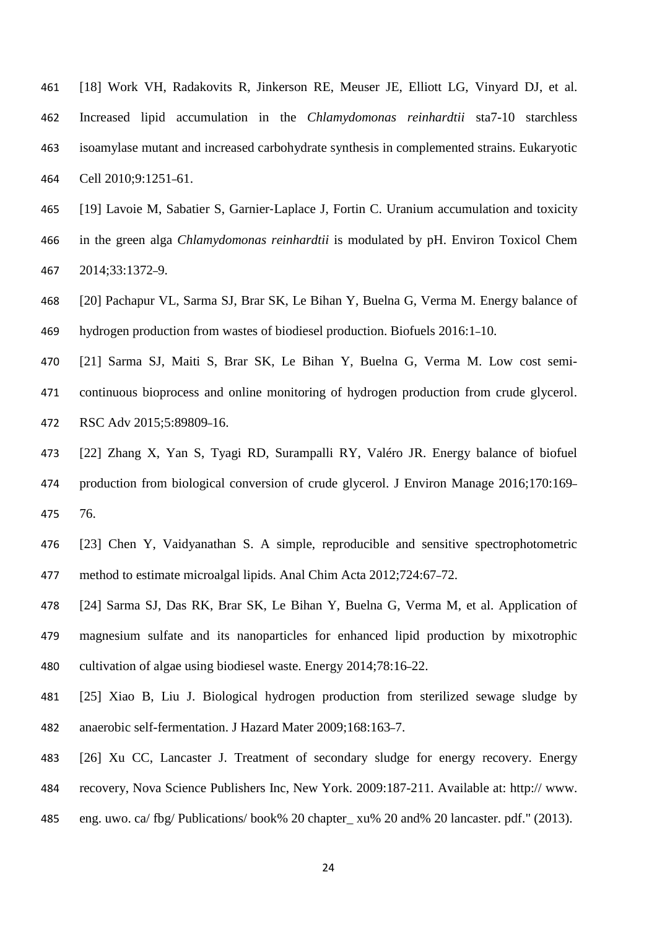- [18] Work VH, Radakovits R, Jinkerson RE, Meuser JE, Elliott LG, Vinyard DJ, et al. Increased lipid accumulation in the *Chlamydomonas reinhardtii* sta7-10 starchless isoamylase mutant and increased carbohydrate synthesis in complemented strains. Eukaryotic Cell 2010;9:1251–61.
- [19] Lavoie M, Sabatier S, Garnier‐Laplace J, Fortin C. Uranium accumulation and toxicity in the green alga *Chlamydomonas reinhardtii* is modulated by pH. Environ Toxicol Chem 2014;33:1372–9.
- [20] Pachapur VL, Sarma SJ, Brar SK, Le Bihan Y, Buelna G, Verma M. Energy balance of hydrogen production from wastes of biodiesel production. Biofuels 2016:1–10.
- [21] Sarma SJ, Maiti S, Brar SK, Le Bihan Y, Buelna G, Verma M. Low cost semi- continuous bioprocess and online monitoring of hydrogen production from crude glycerol. RSC Adv 2015;5:89809–16.
- [22] Zhang X, Yan S, Tyagi RD, Surampalli RY, Valéro JR. Energy balance of biofuel production from biological conversion of crude glycerol. J Environ Manage 2016;170:169– 76.
- [23] Chen Y, Vaidyanathan S. A simple, reproducible and sensitive spectrophotometric method to estimate microalgal lipids. Anal Chim Acta 2012;724:67–72.
- [24] Sarma SJ, Das RK, Brar SK, Le Bihan Y, Buelna G, Verma M, et al. Application of magnesium sulfate and its nanoparticles for enhanced lipid production by mixotrophic cultivation of algae using biodiesel waste. Energy 2014;78:16–22.
- [25] Xiao B, Liu J. Biological hydrogen production from sterilized sewage sludge by anaerobic self-fermentation. J Hazard Mater 2009;168:163–7.
- [26] Xu CC, Lancaster J. Treatment of secondary sludge for energy recovery. Energy recovery, Nova Science Publishers Inc, New York. 2009:187-211. Available at: http:// www.
- eng. uwo. ca/ fbg/ Publications/ book% 20 chapter\_ xu% 20 and% 20 lancaster. pdf." (2013).
	-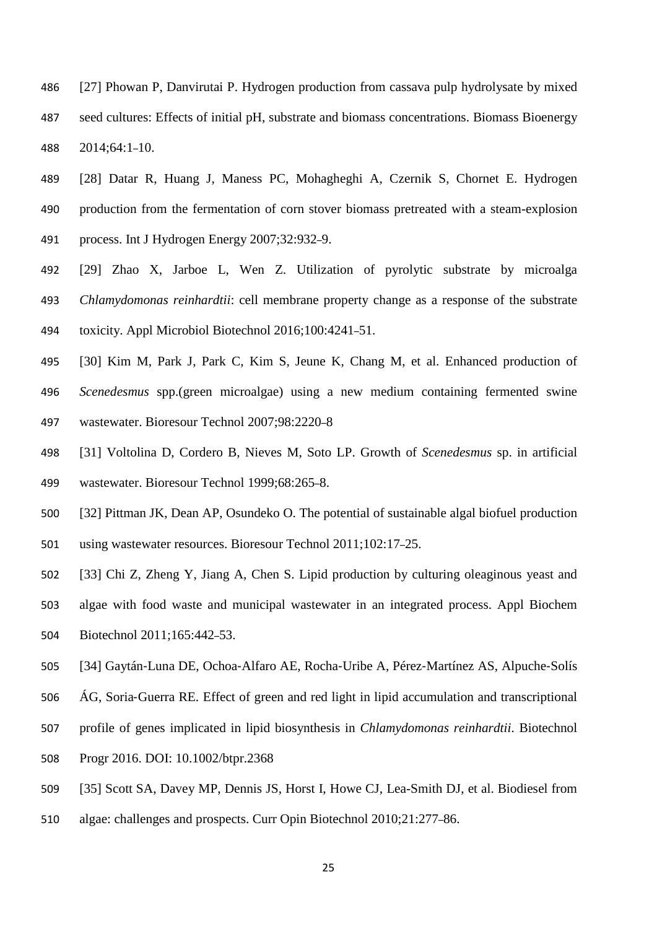- [27] Phowan P, Danvirutai P. Hydrogen production from cassava pulp hydrolysate by mixed seed cultures: Effects of initial pH, substrate and biomass concentrations. Biomass Bioenergy 2014;64:1–10.
- [28] Datar R, Huang J, Maness PC, Mohagheghi A, Czernik S, Chornet E. Hydrogen production from the fermentation of corn stover biomass pretreated with a steam-explosion process. Int J Hydrogen Energy 2007;32:932–9.
- [29] Zhao X, Jarboe L, Wen Z. Utilization of pyrolytic substrate by microalga *Chlamydomonas reinhardtii*: cell membrane property change as a response of the substrate toxicity. Appl Microbiol Biotechnol 2016;100:4241–51.
- [30] Kim M, Park J, Park C, Kim S, Jeune K, Chang M, et al. Enhanced production of *Scenedesmus* spp.(green microalgae) using a new medium containing fermented swine wastewater. Bioresour Technol 2007;98:2220–8
- [31] Voltolina D, Cordero B, Nieves M, Soto LP. Growth of *Scenedesmus* sp. in artificial wastewater. Bioresour Technol 1999;68:265–8.
- [32] Pittman JK, Dean AP, Osundeko O. The potential of sustainable algal biofuel production using wastewater resources. Bioresour Technol 2011;102:17–25.
- [33] Chi Z, Zheng Y, Jiang A, Chen S. Lipid production by culturing oleaginous yeast and
- algae with food waste and municipal wastewater in an integrated process. Appl Biochem Biotechnol 2011;165:442–53.
- [34] Gaytán‐Luna DE, Ochoa‐Alfaro AE, Rocha‐Uribe A, Pérez‐Martínez AS, Alpuche‐Solís
- ÁG, Soria‐Guerra RE. Effect of green and red light in lipid accumulation and transcriptional
- profile of genes implicated in lipid biosynthesis in *Chlamydomonas reinhardtii*. Biotechnol
- Progr 2016. DOI: 10.1002/btpr.2368
- [35] Scott SA, Davey MP, Dennis JS, Horst I, Howe CJ, Lea-Smith DJ, et al. Biodiesel from
- algae: challenges and prospects. Curr Opin Biotechnol 2010;21:277–86.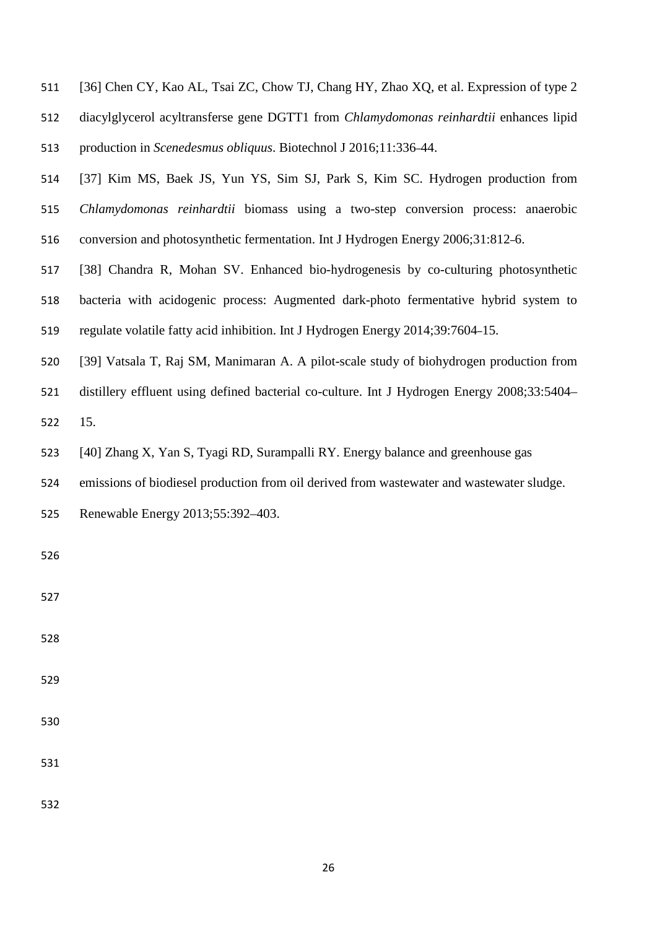|  |  |  | 511 [36] Chen CY, Kao AL, Tsai ZC, Chow TJ, Chang HY, Zhao XQ, et al. Expression of type 2 |  |  |  |  |  |  |
|--|--|--|--------------------------------------------------------------------------------------------|--|--|--|--|--|--|
|--|--|--|--------------------------------------------------------------------------------------------|--|--|--|--|--|--|

- diacylglycerol acyltransferse gene DGTT1 from *Chlamydomonas reinhardtii* enhances lipid production in *Scenedesmus obliquus*. Biotechnol J 2016;11:336–44.
- [37] Kim MS, Baek JS, Yun YS, Sim SJ, Park S, Kim SC. Hydrogen production from *Chlamydomonas reinhardtii* biomass using a two-step conversion process: anaerobic conversion and photosynthetic fermentation. Int J Hydrogen Energy 2006;31:812–6.
- [38] Chandra R, Mohan SV. Enhanced bio-hydrogenesis by co-culturing photosynthetic
- bacteria with acidogenic process: Augmented dark-photo fermentative hybrid system to
- regulate volatile fatty acid inhibition. Int J Hydrogen Energy 2014;39:7604–15.
- [39] Vatsala T, Raj SM, Manimaran A. A pilot-scale study of biohydrogen production from
- distillery effluent using defined bacterial co-culture. Int J Hydrogen Energy 2008;33:5404–

15.

- [40] Zhang X, Yan S, Tyagi RD, Surampalli RY. Energy balance and greenhouse gas
- emissions of biodiesel production from oil derived from wastewater and wastewater sludge.
- Renewable Energy 2013;55:392–403.

- 
- 
- 
- 
- 
-